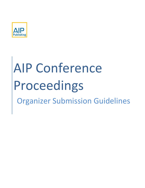

# AIP Conference Proceedings Organizer Submission Guidelines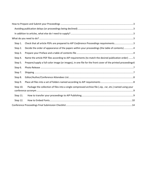| Step 1.  | Check that all article PDFs are prepared to AIP Conference Proceedings requirements3                       |  |
|----------|------------------------------------------------------------------------------------------------------------|--|
| Step 2.  | Decide the order of appearance of the papers within your proceedings (the table of contents) 4             |  |
| Step 3.  |                                                                                                            |  |
| Step 4.  | Name the article PDF files according to AIP requirements (to match the desired publication order) 5        |  |
| Step 5.  | Prepare/supply a full-color image (or images), in one file for the front cover of the printed proceedings6 |  |
| Step 6.  |                                                                                                            |  |
| Step 7.  |                                                                                                            |  |
| Step 8.  |                                                                                                            |  |
| Step 9.  |                                                                                                            |  |
| Step 10. | Package the collection of files into a single compressed archive file (.zip, .rar, etc.) named using your  |  |
| Step 11. |                                                                                                            |  |
| Step 12. |                                                                                                            |  |
|          |                                                                                                            |  |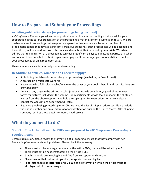# <span id="page-2-0"></span>**How to Prepare and Submit your Proceedings**

## <span id="page-2-1"></span>**Avoiding publication delays (or proceedings being declined)**

*AIP Conference Proceedings* values the opportunity to publish your proceedings, but we ask for your cooperation in the careful preparation of the proceeding's materials prior to submission to AIP. We are unable to accept proceedings that are poorly prepared and/or contain a substantial number of problematic papers that deviate significantly from our guidelines. Such proceedings will be declined, and the editor(s) will be asked to correct the issues and re-submit their proceedings materials. We advise editors that re-submission of a proceedings can cause significant delays to publication, particularly when authors must be contacted to obtain replacement papers. It may also jeopardize our ability to publish your proceedings by an agreed upon date.

Thank you in advance for your help and understanding.

#### <span id="page-2-2"></span>**In addition to articles, what else do I need to supply?**

- A file listing the table of contents for your proceedings (see below, in Excel format)
- A preface (in a Microsoft Word file)
- Please provide a full-color graphic/image for the cover of your books. Details and specifications are provided below.
- Details of any pages to be printed in color (optional)Provide completed/signed photo release forms for pictures included in the volume (From participants whose faces appear in the photos, as well as from the photographers who hold the copyrights. For exemptions to this rule please contact the Acquisitions department directly.
- If you are purchasing printed copies or CDs we need the list of shipping addresses. Please include the phone number and email address for any destination outside the United States (AIP's shipping company requires those details for non-US addresses)

# <span id="page-2-3"></span>**What do you need to do?**

## <span id="page-2-4"></span>**Step 1. Check that all article PDFs are prepared to** *AIP Conference Proceedings* **requirements**

Before submission, please review the formatting of all papers to ensure that they comply with AIP Proceedings' requirements and guidelines. Please check the following:

- There must not be any page numbers on the article PDFs; these will be added by AIP.
- There must not be headers/footers on the article PDFs.
- Graphics should be clear, legible and free from corruption or distortion.
- Please ensure that text within graphics/images is clear and legible.
- Paper size should be **letter size** or **8.5 x 11** and all information within the article must be displayed within the set margins.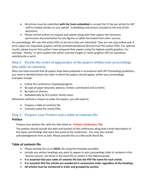- All articles must be submitted **with the fonts embedded** or accept the \$1 fee per article for AIP staff to embed articles on your behalf. Embedding instructions included at the end of this document.
- Please remind authors to request and submit along with their papers the necessary permissions documentation for any figures or tables borrowed from other sources.

For proceedings, AIP uses the article PDFs in the form they are submitted. They are not copy edited and, if print copies are requested, graphics will be printed/reproduced directly from the author PDFs. For optimal results, please ensure that authors have prepared their papers using the highest-quality graphics. For example, "blocky" or poor-quality text within scanned images or raster graphics will not reproduce satisfactorily in print.

## <span id="page-3-0"></span>**Step 2. Decide the order of appearance of the papers within your proceedings (the table of contents)**

After you have ensured that all papers have been prepared in accordance with AIP Proceedings guidelines, you need to decide/choose the order in which the papers should appear within your proceedings. Examples include:

- Follow the conference schedule/program.
- By type of paper (keynote, plenary, invited, contributed and so forth).
- By topics or themes.
- Alphabetically by first author family name.

Whichever method is chosen to order the papers, you will need to:

- Prepare a table of contents file.
- Carefully name the article PDFs.

## <span id="page-3-1"></span>**Step 3. Prepare your Preface and a table of contents file**

#### **Preface**

#### Prepare your preface file, with the title listed as: **Preface: Conference Title**

The preface should include the date and location of the conference along with a brief description of the topics and findings that were discussed at the conference. You may also include acknowledgments here as well. Please provide this as a Microsoft Word file.

## **Table of contents file**

- Please provide this as an **EXCEL** file using the template provided.
- Include any section headings you want to appear in your proceedings table of contents in the Section column. List these in the excel file as shown in the table/example.
- **It is essential that your table of contents file lists the PDF file name for each article.**
- **It is essential that the articles are numbered in consecutive order regardless of the headings.**
- **All articles must be numbered in order and grouped by section.**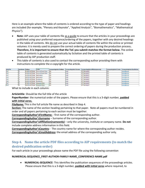Here is an example where the table of contents is ordered according to the type of paper and headings are included (for example, "Plenary and Keynote", "Applied Analysis", "Biomathematics", "Mathematical Physics").

- **Note:** AIP uses your table of contents file as a guide to ensure that the articles in your proceedings are published using your preferred sequence/ordering of the papers, together with any desired headings in the table of contents. We do not use your actual table of contents file within the online or printed volumes: it is merely used to prepare the correct ordering of papers during the production process**. Therefore, it is important to ensure that the ToC you submit matches the format below.** The online table of contents is generated automatically by Scitation and the printed table of contents is produced by AIP production staff.
- This table of contents is also used to contact the corresponding author providing them with instructions to complete the e-copyright for the article.

| <b>Article Title</b> | PaperNumber FileName |                                                | <b>Section</b>                                     | CorrespondingAuthor'sFirstName | CorrespondingAuthor'sSurname | CorrespondingAuthor'sAffiliation(nameonly) |            | CorrespondingAuthor'sCountry CorrespondingAuthor'sEmailAddress |
|----------------------|----------------------|------------------------------------------------|----------------------------------------------------|--------------------------------|------------------------------|--------------------------------------------|------------|----------------------------------------------------------------|
| Title 1              |                      |                                                | 001 LEVINS AIPP2020.pdf Plenary and Keynote Papers |                                | Levins                       | <b>AIP Publishing LLC</b>                  | USA        | rlevins@aip.org                                                |
| Title 2              |                      |                                                | 002 LEVINS AIPP2020.pdf Plenary and Keynote Papers |                                | Levins                       | <b>AIP Publishing LLC</b>                  | USA        | rlevins@aip.org                                                |
| Title 3              |                      | 003 LEVINS AIPP2020.pdf Applied Analysis       |                                                    | Ruth                           | Levins                       | <b>AIP Publishing LLC</b>                  | USA        | rlevins@aip.org                                                |
| Title 4              |                      | 004_LEVINS_AIPP2020.pdf Applied Analysis       |                                                    | Ruth                           | Levins                       | <b>AIP Publishing LLC</b>                  | USA        | rlevins@aip.org                                                |
| Title 5              |                      | 005 LEVINS AIPP2020.pdf Biomathematics         |                                                    | Ruth                           | Levins                       | <b>AIP Publishing LLC</b>                  | <b>JSA</b> | rlevins@aip.org                                                |
| Title 6              |                      | 006 LEVINS AIPP2020.pdf Biomathematics         |                                                    | Ruth                           | Levins                       | <b>AIP Publishing LLC</b>                  | <b>JSA</b> | rlevins@aip.org                                                |
| Title 7              |                      | 007 LEVINS AIPP2020.pdf   Mathematical Physics |                                                    | Ruth                           | Levins                       | <b>AIP Publishing LLC</b>                  | USA        | rlevins@aip.org                                                |
| Title 8              |                      | 008 LEVINS AIPP2020.pdf   Mathematical Physics |                                                    | Ruth                           | Levins                       | <b>AIP Publishing LLC</b>                  | <b>USA</b> | rlevins@aip.org                                                |

What to include in each column:

#### **Articletitle**: Should be the full title of the article

**PaperNumber**: the numerical order of the papers. Please ensure that this is a 3-digit number, **padded with initial zeros.**

**FileName:** This is the full article file name as described in Step 4.

**Section:** The name of the section heading pertaining to that paper. Note all papers must be numbered in order and all papers pertaining to each section must be together.

**CorrespondingAuthor'sFirstName:** - first name of the corresponding author.

**CorrespondingAuthor'sSurname** – Surname of the corresponding author.

**CorrespondingAuthor'sAffiliation(nameonly)** – only the university, institute or company name. **Do not** include complete address information in this field.

**CorrespondingAuthor'sCountry:** - The country name for where the corresponding author resides. **CorrespondingAuthor'sEmailAddress:** the email address of the corresponding author only.

## <span id="page-4-0"></span>**Step 4. Name the article PDF files according to AIP requirements (to match the desired publication order)**

For each article in your proceedings please name the PDF file using the following convention

#### **NUMERICAL-SEQUENCE\_FIRST-AUTHOR-FAMILY-NAME\_CONFERENCE-NAME.pdf**

• **NUMERICAL-SEQUENCE**: This identifies the publication sequences of the proceedings articles. Please ensure that this is a 3-digit number, **padded with initial zeros** where required, to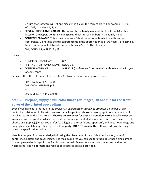ensure that software will list and display the files in the correct order. For example, use 001, 002, 003, … and not 1, 2, 3, …

- **FIRST-AUTHOR-FAMILY-NAME**: This is simply the **family name** of the first (or only) author listed on the paper. **Do not** include spaces, diacritics, or numbers in the family name.
- **CONFERENCE-NAME**: This is the conference "short name" or abbreviation with year of conference. Do not use the full conference title; the abbreviation is all we need. For example, based on the sample table of contents shown in Step 3. The file name: 001 DOUGLAS AIPP2018.pdf

indicates

- NUMERICAL-SEQUENCE 001
- FIRST-AUTHOR-FAMILY-NAME DOUGLAS
- CONFERENCE-NAME AIPP2019 (conference "short name" or abbreviation with year of conference)

Similarly, the other file names listed in Step 3 follow the same naming convention:

002\_CLARK\_AIPP2019.pdf 003\_CHOY\_AIPP2019.pdf …

099 SIMPSON AIPP2019.pdf

## <span id="page-5-0"></span>**Step 5. Prepare/supply a full-color image (or images), in one file for the front cover of the printed proceedings**

Even if you have not ordered printed copies *AIP Conference Proceedings* produces a number of print copies for distribution to libraries. We ask that all organizers choose a color graphic, or combination of graphics, to go on the front covers. **There is no extra cost for this: it is completely free**. Ideally, we prefer visually attractive graphics which represent the science presented at your conference, but you are free to choose any graphic(s) which you prefer (e.g., logos of the conference sponsors), and does not infringe any copyrights or violate any other right of a third party. **DO NOT provide the full-page art**, just the image using the specifications below.

Here is a sample of our cover design indicating the placement of the article title, location, date of conference, Editors and cover image. The maximum area you can use for graphics (either a single image or multiple smaller images in one file) is shown as well. Dimensions are shown in inches (and to the nearest cm). The file formats and resolutions required are also provided.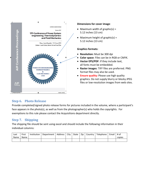

#### **Dimensions for cover image**:

- Maximum width of graphic(s) = 5.12 inches (13 cm)
- Maximum height of graphic(s) = 5.12 inches (13 cm)

#### **Graphics formats:**

- **Resolution:** Must be 300 dpi
- **Color space**: Files can be in RGB or CMYK.
- **Vector EPS/PDF**: If they include text, all fonts must be embedded.
- **Raster images**: TIFF files are preferred. PNG format files may also be used.
- **Ensure quality:** Please use high quality graphics. Do not supply blurry or blocky JPEG files or low-resolution images from web sites.

## <span id="page-6-0"></span>**Step 6. Photo Release**

Provide completed/signed photo release forms for pictures included in the volume, where a participant's face appears in the photo(s), as well as from the photographer(s) who holds the copyrights. For exemptions to this rule please contact the Acquisitions department directly.

## <span id="page-6-1"></span>**Step 7. Shipping**

The shipping file should be sent using excel and should include the following information in their individual columns:

| Last | First | Institution | Department   Address   City   State   Zip   Country |  |  | Telephone | Email | # of   |
|------|-------|-------------|-----------------------------------------------------|--|--|-----------|-------|--------|
| Name | Name  |             |                                                     |  |  |           |       | copies |
|      |       |             |                                                     |  |  |           |       |        |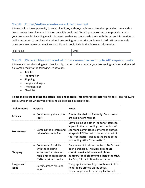## <span id="page-7-0"></span>**Step 8. Editor/Author/Conference Attendees List**

AIP would like the opportunity to email all editors/authors/conference attendees providing them with a link to access the volume on Scitation once it is published. Would you be so kind as to provide us with your attendees list including email addresses, so that we can provide them with the access information, as well as a coupon to purchase the printed proceedings on our print on demand site? AIP recommends using excel to create your email contact file and should include the following information:

| - |  |
|---|--|
|   |  |

## <span id="page-7-1"></span>**Step 9. Place all files into a set of folders named according to AIP requirements**

AIP needs to receive a single archive file (.zip, .rar, etc.) that contains your proceedings articles and related files organized into the following set of folders:

- Articles
- Frontmatter
- Shipping
- Images and logos
- Attendees List
- Checklist

**Please make sure to place the article PDFs and material into different directories (folders).** The following table summarizes which type of file should be placed in each folder.

| <b>Folder name</b>  | <b>Purpose</b>                                                                                                                            | <b>Notes</b>                                                                                                                                                                                                                                                            |
|---------------------|-------------------------------------------------------------------------------------------------------------------------------------------|-------------------------------------------------------------------------------------------------------------------------------------------------------------------------------------------------------------------------------------------------------------------------|
| <b>Articles</b>     | Contains only the article<br>PDFs.                                                                                                        | Font embedded pdf files only. Do not send<br>articles in word format.                                                                                                                                                                                                   |
| <b>Frontmatter</b>  | Contains the preface and<br>table of contents file.                                                                                       | May also include other "editorial" items to<br>appear in the proceedings, such as lists of<br>sponsors, committees, conference photos.<br>Images in PDF format to be included within<br>the 'frontmatter" pages at the front of the<br>proceedings (the "frontmatter"). |
| <b>Shipping</b>     | Contains an Excel file<br>$\bullet$<br>with the shipping<br>addresses for intended<br>recipients of proceedings<br>DVDs or printed books. | Only relevant if printed copies or DVDs have<br>been purchased. The Excel file should<br>contain email addresses and phone<br>numbers for all shipments outside the USA.<br>See Step 7 for additional information.                                                      |
| Images and<br>logos | Specific image files and<br>logos.                                                                                                        | The graphics and/or logos contained in this<br>folder to be printed on the cover.<br>Cover image should be in .jpg file format.                                                                                                                                         |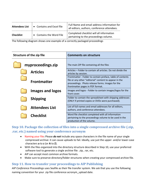| <b>Attendees List</b> | • Contains and Excel file | Full Name and email address information for<br>all editors, authors, conference attendees. |
|-----------------------|---------------------------|--------------------------------------------------------------------------------------------|
| <b>Checklist</b>      | • Contains the Word File  | Completed checklist will all information<br>pertaining to the proceedings volume.          |

The following diagram shows one example of a correctly packaged proceedings

| Structure of the zip file | <b>Comments on structure</b>                                                                                                                                                                                 |
|---------------------------|--------------------------------------------------------------------------------------------------------------------------------------------------------------------------------------------------------------|
| myproceedings.zip         | The main ZIP file containing all the files                                                                                                                                                                   |
| <b>Articles</b>           | Articles - Folder to contain all articles. Do not divide the<br>articles by session.                                                                                                                         |
| <b>Frontmatter</b>        | Frontmatter - Folder to contain preface, table of contents<br>file or any other "editorial" content to appear in the<br>proceedings. Photo release forms. Images for the<br>frontmatter pages in PDF format. |
| <b>Images and logos</b>   | Images and logos - Folder to contain images/logos for the<br>front cover.                                                                                                                                    |
| <b>Shipping</b>           | Folder to contain the spreadsheet with shipping addresses<br>(ONLY if printed copies or DVDs were purchased).                                                                                                |
| <b>Attendees List</b>     | List of full names and email addresses for all editors,<br>authors, and conference attendees.                                                                                                                |
| <b>Checklist</b>          | Word file checklist completed with all information<br>pertaining to the proceedings volume to be used in the<br>production of the volume.                                                                    |

## <span id="page-8-0"></span>**Step 10. Package the collection of files into a single compressed archive file (.zip, .rar, etc.) named using your conference acronym**

- Naming your file**:** Please *do not* include any space characters in the file name of your single compressed archive: it can cause uploads to fail. Ideally, use just the upper- and/or lower-case characters **a** to **z** (or **A** to **Z**).
- With the files organized into the directory structure described in Step 10, use your preferred software tool to generate a single archive file: .zip, .rar, etc.
- AIP can accept most common archive formats.
- Make sure to preserve directory/folder structures when creating your compressed archive file.

## <span id="page-8-1"></span>**Step 11. How to transfer your proceedings to AIP Publishing**

*AIP Conference Proceedings* uses Seafile as their file transfer system. We ask that you use the following naming convention for your .zip file conference acronym upload date.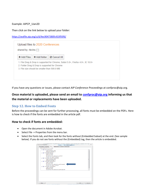#### Example: AIPCP\_1Jan20

Then click on the link below to upload your folder:

<https://seafile.aip.org/u/d/4ec9047380fc433f93f6/>

| shared by: rievins $\Box$                    | Upload files to 2020 Conferences              |                                                                                          |
|----------------------------------------------|-----------------------------------------------|------------------------------------------------------------------------------------------|
| + Add Files                                  | $\pm$ Add folder                              | ⊘ Cancel All                                                                             |
| 3. File size should be smaller than 500.0 MB | 2. Folder Drag & Drop is supported for Chrome | 1. File Drag & Drop is supported for Chrome, Safari $5.0+$ , Firefox $4.0+$ , IE $10.0+$ |

If you have any questions or issues, please contact *AIP Conference Proceedings* at confproc@aip.org.

**Once material is uploaded, please send an email to [confproc@aip.org](mailto:confproc@aip.org) informing us that the material or replacements have been uploaded.**

## <span id="page-9-0"></span>**Step 12. How to Embed Fonts**

Before the proceedings can be sent for further processing, all fonts must be embedded on the PDFs. Here is how to check if the fonts are embedded in the article pdf.

#### **How to check if fonts are embedded:**

- Open the document in Adobe Acrobat.
- Select File -> Properties from the menu bar.
- Select the Fonts tab, and then look for the fonts without (Embedded Subset) at the end. (See sample below). If you do not see fonts without the (Embedded) tag, then the article is embedded.

| <b>Document Properties</b>                                                   |    |        | $\Sigma\!3$ |
|------------------------------------------------------------------------------|----|--------|-------------|
| <b>Description</b> Security Fonts<br><b>Initial View   Custom   Advanced</b> |    |        |             |
| <b>Fonts Used in this Document</b>                                           |    |        |             |
| <sup>7</sup> Arial (Embedded)<br>$\equiv$                                    |    |        |             |
| Type: TrueType (CID)                                                         |    |        |             |
| <b>Encoding: Identity-H</b>                                                  |    |        |             |
| Times New Roman                                                              |    |        |             |
| <b>Type: TrueType</b>                                                        |    |        |             |
| <b>Encoding: Ansi</b>                                                        |    |        |             |
| <b>Actual Font: TimesNewRomanPSMT</b>                                        |    |        |             |
| <b>Actual Font Type: TrueType</b>                                            |    |        |             |
| □ <mark>可</mark> Times New Roman (Embedded)                                  |    |        |             |
| Type: TrueType (CID)                                                         |    | Ξ      |             |
| <b>Encoding: Identity-H</b>                                                  |    |        |             |
| n Times New Roman, Bold                                                      |    |        |             |
| <b>Type: TrueType</b>                                                        |    |        |             |
| <b>Encoding: Ansi</b><br><b>Actual Font: TimesNewRomanPS-BoldMT</b>          |    |        |             |
|                                                                              |    |        |             |
| <b>Actual Font Type: TrueType</b><br>Times New Roman, Italic                 |    |        |             |
| <b>Type: TrueType</b>                                                        |    |        |             |
|                                                                              |    |        |             |
| <b>Encoding: Ansi</b><br><b>Actual Font: TimesNewRomanPS-ItalicMT</b>        |    |        |             |
|                                                                              |    |        |             |
|                                                                              |    |        |             |
| <b>Help</b>                                                                  | OK | Cancel |             |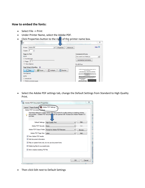## **How to embed the fonts:**

- Select File -> Print
- Under Printer Name, select the Adobe PDF.
- Click Properties button to the right of the printer name box.

| Adobe PDF<br>Printer:<br>Properties<br>Advanced<br>▼<br>$\frac{1}{x}$<br>Copies:                            | Help <sup>4</sup>                                                                                                                                                                                                                                                                                                                     |
|-------------------------------------------------------------------------------------------------------------|---------------------------------------------------------------------------------------------------------------------------------------------------------------------------------------------------------------------------------------------------------------------------------------------------------------------------------------|
| <b>Pages to Print</b>                                                                                       | <b>Comments &amp; Forms</b>                                                                                                                                                                                                                                                                                                           |
| $\odot$ All                                                                                                 | Document and Markups                                                                                                                                                                                                                                                                                                                  |
| Current page<br>O                                                                                           | Summarize Comments                                                                                                                                                                                                                                                                                                                    |
| $1 - 3$<br>Pages                                                                                            |                                                                                                                                                                                                                                                                                                                                       |
| More Options                                                                                                | $51 \times 66$ Picas                                                                                                                                                                                                                                                                                                                  |
| $\odot$<br>Page Sizing & Handling<br><b>Poster</b><br>음 Multiple<br>$\Box$<br>$\frac{1}{2}$ Size<br>Booklet | Oscillation Signature from Multi-wavelength Analysis on<br>Salar Chromosphere                                                                                                                                                                                                                                                         |
| Size Options:                                                                                               | Emmed Songring Manyour <sup>4, 2</sup> , Disni Herdreiged and Mirra Disner<br>Squirrent of Armory, Panily of Aleksandro and Riveral Stress, Sandary Armaic of Scholage,<br><b>Bender IV Sening Interview (FIV)</b>                                                                                                                    |
|                                                                                                             | There is now these times in the column of the Light Street of Linday International Control of the American Incident Street, Series Asiata of Schools County, Series and American Incident Street, Series Asiata of Schools Cou                                                                                                        |
| O Fit                                                                                                       | shares. In the real, we lead that the last three sales legions to be presented further to the third<br>to the company's company's company's company's the company's company's company's company's company's company's<br>Application of the company's company's company's company's company's company's company's company's company's |
| Actual size                                                                                                 | Experience the company for Pumphas Mattercharge, Transports Continues Mass.<br>Parts was painter recently stately.<br><b>INTRODUCTION</b>                                                                                                                                                                                             |
| Shrink oversized pages                                                                                      | Continues makes in the adaption when you of<br>ges intere ar big en longte in in de signale.<br>If terminatin van el minut fon Grubel goes.                                                                                                                                                                                           |

• Select the Adobe PDF settings tab, change the Default Settings from Standard to High Quality Print.

| Adobe PDF Document Properties                                                                                                                                                              | ΣŜ |
|--------------------------------------------------------------------------------------------------------------------------------------------------------------------------------------------|----|
| Adobe PDF Settings<br>Paper/Quality<br>Layout  <br>Adobe PDF Conversion Settings                                                                                                           |    |
| Use these settings to create Adobe PDF documents for quality printing on desktop printers<br>and proofers. Created PDF docume can be opened with Acrobat and Adobe Reader 5.0<br>and later |    |
| Edit<br>Default Settings:<br><b>High Quality Print</b><br>▼                                                                                                                                |    |
| Edit<br>Adobe PDF Security: None                                                                                                                                                           |    |
| Adobe PDF Output Folder   Prompt for Adobe PDF filename<br>Browse                                                                                                                          |    |
| Adobe PDF Page Size: Letter<br>Add<br>۰                                                                                                                                                    |    |
| V View Adobe PDF results                                                                                                                                                                   |    |
| Add document information                                                                                                                                                                   |    |
| V Rely on system fonts only; do not use document fonts                                                                                                                                     |    |
| V Delete log files for successful jobs                                                                                                                                                     |    |
| V Ask to replace existing PDF file                                                                                                                                                         |    |
|                                                                                                                                                                                            |    |
|                                                                                                                                                                                            |    |
| OK<br>Cancel                                                                                                                                                                               |    |

• Then click Edit next to Default Settings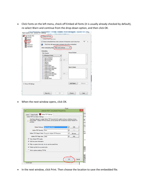• Click Fonts on the left menu, check off Embed all fonts (it is usually already checked by default), re-select Warn and continue from the drop-down option, and then click OK.

| <b>High Quality Print</b><br><b>N</b><br>General<br>Images<br>Fonts<br>Color<br>Advanced<br>Standards | V Embed all fonts<br>Embed Open Type fonts<br>V Subset embedded fonts when percent of characters used is less than:<br>Only fonts with appropriate permission bits will be embedded<br>G<br>When embedding fails:   Wam and continue |   |                   |                    | 100<br>$\%$ |
|-------------------------------------------------------------------------------------------------------|--------------------------------------------------------------------------------------------------------------------------------------------------------------------------------------------------------------------------------------|---|-------------------|--------------------|-------------|
|                                                                                                       | Embedding                                                                                                                                                                                                                            |   |                   | Always Embed:      |             |
|                                                                                                       | Font Source:<br>C:\Windows\Fonts\                                                                                                                                                                                                    | ▼ |                   |                    | A           |
|                                                                                                       | T AgencyFB-Bold<br>T AgencyFB-Reg<br>T Aharoni-Bold<br>T Algerian<br>T Andalus<br>T AnasanaNew<br>T AngsanaNew-Bold<br>T AngsanaNew-BoldItalic                                                                                       | 灬 | $Add \rightarrow$ | Never Embed:       |             |
|                                                                                                       | T AngsanaNew-Italic<br>T AngsanaUPC<br>T AngsanaUPC-Bold<br>T AngsanaUPC-BoldItalic<br>T AngsanaUPC-Italic<br>T Aparajita<br>T Aparajita-Bold                                                                                        |   | $Add \rightarrow$ |                    | ×           |
| Show All Settings                                                                                     |                                                                                                                                                                                                                                      |   |                   | Add Name<br>Remove |             |

• When the next window opens, click OK.

|      | Print                                                                                                                                                                                         |     |
|------|-----------------------------------------------------------------------------------------------------------------------------------------------------------------------------------------------|-----|
| (Ag) | ×<br><b>Adobe PDF Document Properties</b>                                                                                                                                                     |     |
|      | Paper/Quality   A Adobe PDF Settings<br>Layout                                                                                                                                                |     |
|      | Adobe PDF Conversion Settings                                                                                                                                                                 | H w |
|      | Use these settings to create Adobe PDF documents for quality printing on desktop printers<br>and proofers. Created PDF documents can be opened with Acrobat and Adobe Reader 5.0<br>and later | ms  |
|      |                                                                                                                                                                                               |     |
|      | Edit<br>Default Settings: High Quality Print(4)<br>▼                                                                                                                                          |     |
|      | Edit<br>Adobe PDF Security: None<br>$\overline{\phantom{a}}$                                                                                                                                  |     |
|      | Adobe PDF Output Folder   Prompt for Adobe PDF filename<br>$\overline{\phantom{a}}$<br><b>Browse</b>                                                                                          |     |
|      | Adobe PDF Page Size: Letter<br>Add<br>$\overline{\phantom{a}}$                                                                                                                                |     |
|      | $\nabla$ View Adobe PDF results                                                                                                                                                               |     |
|      | $\nabla$ Add document information                                                                                                                                                             |     |
|      | $\nabla$ Rely on system fonts only; do not use document fonts                                                                                                                                 |     |
|      | $\nabla$ Delete log files for successful jobs                                                                                                                                                 |     |
|      | $\Box$ Ask to replace existing PDF file                                                                                                                                                       |     |
|      |                                                                                                                                                                                               |     |
|      |                                                                                                                                                                                               |     |
|      |                                                                                                                                                                                               |     |
|      | OK<br>Cancel                                                                                                                                                                                  |     |
|      | Landscape                                                                                                                                                                                     |     |

• In the next window, click Print. Then choose the location to save the embedded file.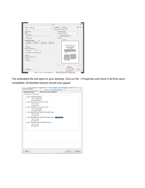| Adobe PDF<br>Printer:                   | $\checkmark$ | Properties                                                                                                                    | Advanced                                                                                       | Ø<br>Help     |  |  |
|-----------------------------------------|--------------|-------------------------------------------------------------------------------------------------------------------------------|------------------------------------------------------------------------------------------------|---------------|--|--|
| $\frac{1}{x}$<br>l1<br>Copies:          |              |                                                                                                                               | Print in grayscale (black and white)                                                           |               |  |  |
| <b>Pages to Print</b>                   |              | <b>Comments &amp; Forms</b>                                                                                                   |                                                                                                |               |  |  |
| $\odot$ All                             |              | Document and Markups                                                                                                          |                                                                                                |               |  |  |
| ○ Current page                          |              | <b>Summarize Comments</b>                                                                                                     |                                                                                                |               |  |  |
| $1 - 3$<br>O Pages                      |              |                                                                                                                               | Scale: 94%                                                                                     |               |  |  |
| More Options                            |              |                                                                                                                               | 51 x 66 Picas                                                                                  |               |  |  |
| $^{\circ}$<br>Page Sizing & Handling    |              |                                                                                                                               |                                                                                                |               |  |  |
| Poster<br>Multiple<br>Size              | Ξ<br>Booklet |                                                                                                                               |                                                                                                |               |  |  |
| OFit                                    |              |                                                                                                                               | Systemic, Microstructure and Dicketric Properties of<br><b>Zircentum Deput Borium Titonate</b> |               |  |  |
| ○ Actual size                           |              | Folows Know <sup>44</sup> , K. Antius', S. Patroli', Indep Now by"                                                            |                                                                                                |               |  |  |
| Shrink oversized pages                  |              |                                                                                                                               | Searches Administration Industries Search Automobile                                           |               |  |  |
| 100<br>%<br>○ Custom Scale:             |              | stand appearance of a product metal-political<br>and not prettien from the special                                            |                                                                                                |               |  |  |
| Choose paper source by PDF page size    |              | Adolf could be be a first that entry was taped comes in the entry.<br>Edward Streets by all and These could be assigned their |                                                                                                |               |  |  |
|                                         |              |                                                                                                                               | processmen                                                                                     |               |  |  |
| Orientation:<br>Auto portrait/landscape |              |                                                                                                                               |                                                                                                |               |  |  |
| Portrait                                |              | Ser Est                                                                                                                       |                                                                                                |               |  |  |
| <b>Clandscape</b>                       |              |                                                                                                                               |                                                                                                |               |  |  |
|                                         |              |                                                                                                                               |                                                                                                |               |  |  |
|                                         |              |                                                                                                                               |                                                                                                |               |  |  |
|                                         |              | $\epsilon$                                                                                                                    |                                                                                                | $\rightarrow$ |  |  |
|                                         |              |                                                                                                                               | Page 1 of 3                                                                                    |               |  |  |

The embedded file will open on your desktop. Click on File -> Properties and check if all fonts were embedded. (Embedded Subset) should now appear

| Description   Security   Fonts     | Initial View Custom   Advanced             |  |    |        |
|------------------------------------|--------------------------------------------|--|----|--------|
| <b>Fonts Used in this Document</b> |                                            |  |    |        |
| Fr Arial (Embedded Subset)         |                                            |  |    |        |
| Type: TrueType (CID)               |                                            |  |    |        |
| Encoding: Identity-H               |                                            |  |    |        |
|                                    | The TimesNewRoman (Embedded Subset)        |  |    |        |
| <b>Type: TrueType</b>              |                                            |  |    |        |
| <b>Encoding: Ansi</b>              |                                            |  |    |        |
|                                    | FilmesNewRoman (Embedded Subset)           |  |    |        |
| Type: TrueType (CID)               |                                            |  |    |        |
| Encoding: Identity-H               |                                            |  |    |        |
|                                    | TimesNewRomanPS-BoldMT (Embedded Subset)   |  |    |        |
| <b>Type: TrueType</b>              |                                            |  |    |        |
| <b>Encoding: Ansi</b>              |                                            |  |    |        |
|                                    | TimesNewRomanPS-ItalicMT (Embedded Subset) |  |    |        |
| <b>Type: TrueType</b>              |                                            |  |    |        |
| <b>Encoding: Ansi</b>              |                                            |  |    |        |
|                                    | FilmesNewRomanPSMT (Embedded Subset)       |  |    |        |
| <b>Type: TrueType</b>              |                                            |  |    |        |
| <b>Encoding: Ansi</b>              |                                            |  |    |        |
|                                    |                                            |  |    |        |
|                                    |                                            |  |    |        |
|                                    |                                            |  |    |        |
|                                    |                                            |  |    |        |
|                                    |                                            |  |    |        |
|                                    |                                            |  |    |        |
|                                    |                                            |  |    |        |
|                                    |                                            |  |    |        |
|                                    |                                            |  |    |        |
|                                    |                                            |  |    |        |
|                                    |                                            |  |    |        |
|                                    |                                            |  |    |        |
|                                    |                                            |  |    |        |
| Help                               |                                            |  | OK | Cancel |